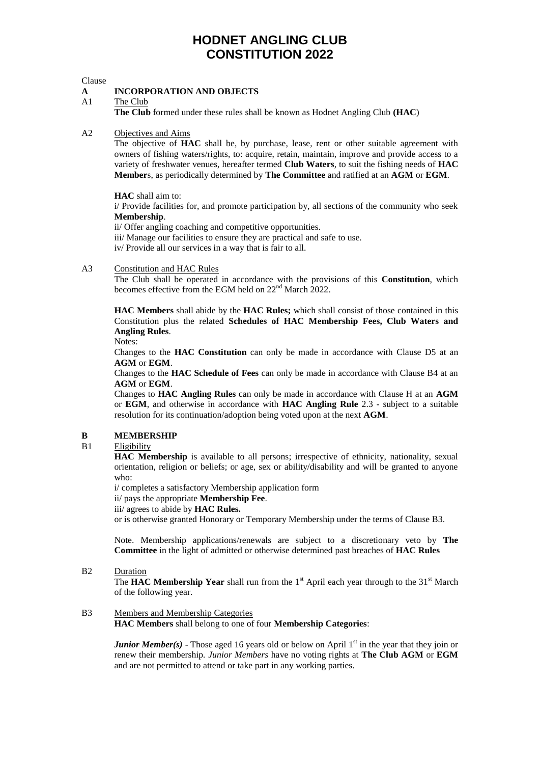#### Clause

#### **A INCORPORATION AND OBJECTS**

A1 The Club

**The Club** formed under these rules shall be known as Hodnet Angling Club **(HAC**)

#### A2 Objectives and Aims

The objective of **HAC** shall be, by purchase, lease, rent or other suitable agreement with owners of fishing waters/rights, to: acquire, retain, maintain, improve and provide access to a variety of freshwater venues, hereafter termed **Club Waters**, to suit the fishing needs of **HAC Member**s, as periodically determined by **The Committee** and ratified at an **AGM** or **EGM**.

**HAC** shall aim to:

i/ Provide facilities for, and promote participation by, all sections of the community who seek **Membership**.

ii/ Offer angling coaching and competitive opportunities.

iii/ Manage our facilities to ensure they are practical and safe to use.

iv/ Provide all our services in a way that is fair to all.

#### A3 Constitution and HAC Rules

The Club shall be operated in accordance with the provisions of this **Constitution**, which becomes effective from the EGM held on 22<sup>nd</sup> March 2022.

**HAC Members** shall abide by the **HAC Rules;** which shall consist of those contained in this Constitution plus the related **Schedules of HAC Membership Fees, Club Waters and Angling Rules**.

Notes:

Changes to the **HAC Constitution** can only be made in accordance with Clause D5 at an **AGM** or **EGM**.

Changes to the **HAC Schedule of Fees** can only be made in accordance with Clause B4 at an **AGM** or **EGM**.

Changes to **HAC Angling Rules** can only be made in accordance with Clause H at an **AGM** or **EGM**, and otherwise in accordance with **HAC Angling Rule** 2.3 - subject to a suitable resolution for its continuation/adoption being voted upon at the next **AGM**.

#### **B MEMBERSHIP**

#### B1 Eligibility

**HAC Membership** is available to all persons; irrespective of ethnicity, nationality, sexual orientation, religion or beliefs; or age, sex or ability/disability and will be granted to anyone who:

i/ completes a satisfactory Membership application form

ii/ pays the appropriate **Membership Fee**.

iii/ agrees to abide by **HAC Rules.**

or is otherwise granted Honorary or Temporary Membership under the terms of Clause B3.

Note. Membership applications/renewals are subject to a discretionary veto by **The Committee** in the light of admitted or otherwise determined past breaches of **HAC Rules**

B2 Duration

The **HAC Membership Year** shall run from the 1<sup>st</sup> April each year through to the 31<sup>st</sup> March of the following year.

B3 Members and Membership Categories **HAC Members** shall belong to one of four **Membership Categories**:

> *Junior Member(s)* - Those aged 16 years old or below on April 1<sup>st</sup> in the year that they join or renew their membership*. Junior Members* have no voting rights at **The Club AGM** or **EGM** and are not permitted to attend or take part in any working parties.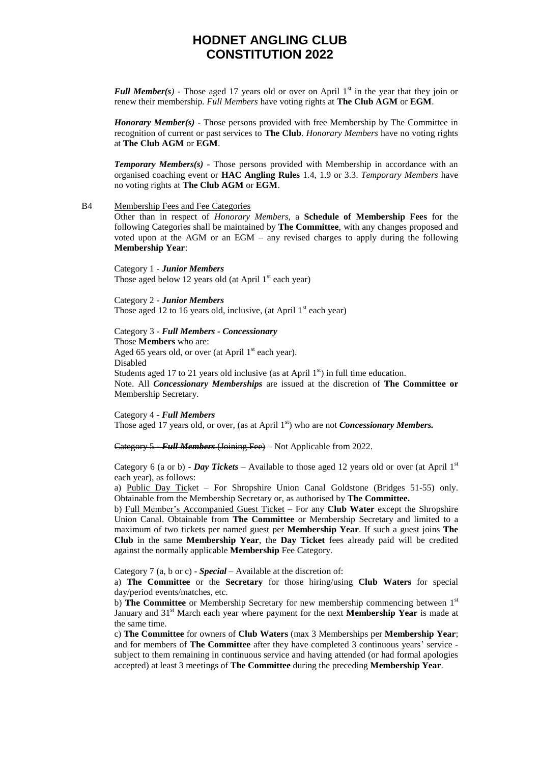*Full Member(s)* - Those aged 17 years old or over on April 1<sup>st</sup> in the year that they join or renew their membership*. Full Members* have voting rights at **The Club AGM** or **EGM**.

*Honorary Member(s)* - Those persons provided with free Membership by The Committee in recognition of current or past services to **The Club**. *Honorary Members* have no voting rights at **The Club AGM** or **EGM**.

*Temporary Members(s)* - Those persons provided with Membership in accordance with an organised coaching event or **HAC Angling Rules** 1.4, 1.9 or 3.3. *Temporary Members* have no voting rights at **The Club AGM** or **EGM**.

#### B4 Membership Fees and Fee Categories

Other than in respect of *Honorary Members*, a **Schedule of Membership Fees** for the following Categories shall be maintained by **The Committee**, with any changes proposed and voted upon at the AGM or an EGM – any revised charges to apply during the following **Membership Year**:

Category 1 - *Junior Members* Those aged below 12 years old (at April  $1<sup>st</sup>$  each year)

Category 2 - *Junior Members* Those aged 12 to 16 years old, inclusive, (at April  $1<sup>st</sup>$  each year)

Category 3 - *Full Members - Concessionary* Those **Members** who are:

Aged 65 years old, or over (at April  $1<sup>st</sup>$  each year). Disabled Students aged 17 to 21 years old inclusive (as at April  $1<sup>st</sup>$ ) in full time education. Note. All *Concessionary Memberships* are issued at the discretion of **The Committee or** 

Membership Secretary. Category 4 - *Full Members*

Those aged 17 years old, or over, (as at April 1<sup>st</sup>) who are not *Concessionary Members*.

Category 5 - *Full Members* (Joining Fee) – Not Applicable from 2022.

Category 6 (a or b) - *Day Tickets* – Available to those aged 12 years old or over (at April 1<sup>st</sup> each year), as follows:

a) Public Day Ticket – For Shropshire Union Canal Goldstone (Bridges 51-55) only. Obtainable from the Membership Secretary or, as authorised by **The Committee.**

b) Full Member's Accompanied Guest Ticket – For any **Club Water** except the Shropshire Union Canal. Obtainable from **The Committee** or Membership Secretary and limited to a maximum of two tickets per named guest per **Membership Year**. If such a guest joins **The Club** in the same **Membership Year**, the **Day Ticket** fees already paid will be credited against the normally applicable **Membership** Fee Category.

Category 7 (a, b or c) - *Special* – Available at the discretion of:

a) **The Committee** or the **Secretary** for those hiring/using **Club Waters** for special day/period events/matches, etc.

b) The Committee or Membership Secretary for new membership commencing between 1<sup>st</sup> January and 31st March each year where payment for the next **Membership Year** is made at the same time.

c) **The Committee** for owners of **Club Waters** (max 3 Memberships per **Membership Year**; and for members of **The Committee** after they have completed 3 continuous years' service subject to them remaining in continuous service and having attended (or had formal apologies accepted) at least 3 meetings of **The Committee** during the preceding **Membership Year**.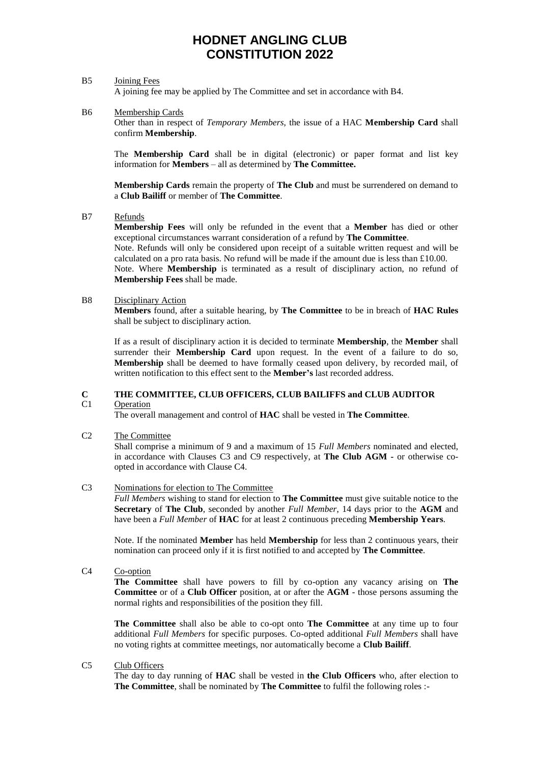#### B5 Joining Fees

A joining fee may be applied by The Committee and set in accordance with B4.

B6 Membership Cards

Other than in respect of *Temporary Members*, the issue of a HAC **Membership Card** shall confirm **Membership**.

The **Membership Card** shall be in digital (electronic) or paper format and list key information for **Members** – all as determined by **The Committee.**

**Membership Cards** remain the property of **The Club** and must be surrendered on demand to a **Club Bailiff** or member of **The Committee**.

B7 Refunds

**Membership Fees** will only be refunded in the event that a **Member** has died or other exceptional circumstances warrant consideration of a refund by **The Committee**.

Note. Refunds will only be considered upon receipt of a suitable written request and will be calculated on a pro rata basis. No refund will be made if the amount due is less than £10.00. Note. Where **Membership** is terminated as a result of disciplinary action, no refund of **Membership Fees** shall be made.

B8 Disciplinary Action

**Members** found, after a suitable hearing, by **The Committee** to be in breach of **HAC Rules** shall be subject to disciplinary action.

If as a result of disciplinary action it is decided to terminate **Membership**, the **Member** shall surrender their **Membership Card** upon request. In the event of a failure to do so, **Membership** shall be deemed to have formally ceased upon delivery, by recorded mail, of written notification to this effect sent to the **Member's** last recorded address.

### **C THE COMMITTEE, CLUB OFFICERS, CLUB BAILIFFS and CLUB AUDITOR**

#### C1 Operation

The overall management and control of **HAC** shall be vested in **The Committee**.

C2 The Committee

Shall comprise a minimum of 9 and a maximum of 15 *Full Members* nominated and elected, in accordance with Clauses C3 and C9 respectively, at **The Club AGM -** or otherwise coopted in accordance with Clause C4.

#### C3 Nominations for election to The Committee

*Full Members* wishing to stand for election to **The Committee** must give suitable notice to the **Secretary** of **The Club**, seconded by another *Full Member*, 14 days prior to the **AGM** and have been a *Full Member* of **HAC** for at least 2 continuous preceding **Membership Years**.

Note. If the nominated **Member** has held **Membership** for less than 2 continuous years, their nomination can proceed only if it is first notified to and accepted by **The Committee**.

C4 Co-option

**The Committee** shall have powers to fill by co-option any vacancy arising on **The Committee** or of a **Club Officer** position, at or after the **AGM** - those persons assuming the normal rights and responsibilities of the position they fill.

**The Committee** shall also be able to co-opt onto **The Committee** at any time up to four additional *Full Members* for specific purposes. Co-opted additional *Full Members* shall have no voting rights at committee meetings, nor automatically become a **Club Bailiff**.

C5 Club Officers

The day to day running of **HAC** shall be vested in **the Club Officers** who, after election to **The Committee**, shall be nominated by **The Committee** to fulfil the following roles :-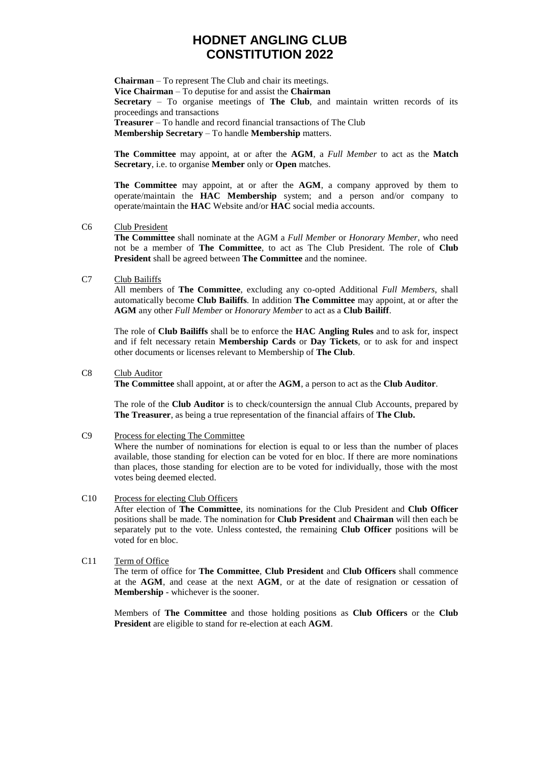**Chairman** – To represent The Club and chair its meetings. **Vice Chairman** – To deputise for and assist the **Chairman Secretary** – To organise meetings of **The Club**, and maintain written records of its proceedings and transactions **Treasurer** – To handle and record financial transactions of The Club **Membership Secretary** – To handle **Membership** matters.

**The Committee** may appoint, at or after the **AGM**, a *Full Member* to act as the **Match Secretary**, i.e. to organise **Member** only or **Open** matches.

**The Committee** may appoint, at or after the **AGM**, a company approved by them to operate/maintain the **HAC Membership** system; and a person and/or company to operate/maintain the **HAC** Website and/or **HAC** social media accounts.

#### C6 Club President

**The Committee** shall nominate at the AGM a *Full Member* or *Honorary Member,* who need not be a member of **The Committee**, to act as The Club President. The role of **Club President** shall be agreed between **The Committee** and the nominee.

#### C7 Club Bailiffs

All members of **The Committee**, excluding any co-opted Additional *Full Members*, shall automatically become **Club Bailiffs**. In addition **The Committee** may appoint, at or after the **AGM** any other *Full Member* or *Honorary Member* to act as a **Club Bailiff**.

The role of **Club Bailiffs** shall be to enforce the **HAC Angling Rules** and to ask for, inspect and if felt necessary retain **Membership Cards** or **Day Tickets**, or to ask for and inspect other documents or licenses relevant to Membership of **The Club**.

#### C8 Club Auditor

**The Committee** shall appoint, at or after the **AGM**, a person to act as the **Club Auditor**.

The role of the **Club Auditor** is to check/countersign the annual Club Accounts, prepared by **The Treasurer**, as being a true representation of the financial affairs of **The Club.**

#### C9 Process for electing The Committee

Where the number of nominations for election is equal to or less than the number of places available, those standing for election can be voted for en bloc. If there are more nominations than places, those standing for election are to be voted for individually, those with the most votes being deemed elected.

- C10 Process for electing Club Officers After election of **The Committee**, its nominations for the Club President and **Club Officer** positions shall be made. The nomination for **Club President** and **Chairman** will then each be separately put to the vote. Unless contested, the remaining **Club Officer** positions will be voted for en bloc.
- C11 Term of Office

The term of office for **The Committee**, **Club President** and **Club Officers** shall commence at the **AGM**, and cease at the next **AGM**, or at the date of resignation or cessation of **Membership** - whichever is the sooner.

Members of **The Committee** and those holding positions as **Club Officers** or the **Club President** are eligible to stand for re-election at each **AGM**.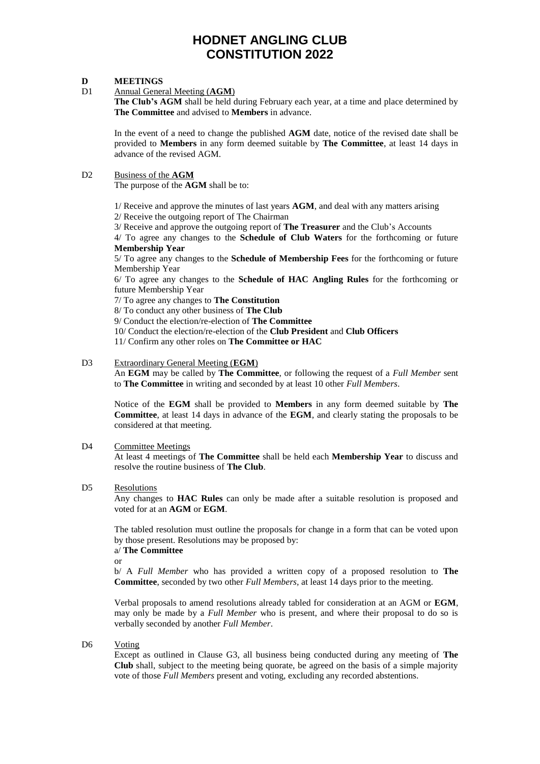#### **D MEETINGS**

#### D1 Annual General Meeting (**AGM**)

**The Club's AGM** shall be held during February each year, at a time and place determined by **The Committee** and advised to **Members** in advance.

In the event of a need to change the published **AGM** date, notice of the revised date shall be provided to **Members** in any form deemed suitable by **The Committee**, at least 14 days in advance of the revised AGM.

#### D2 Business of the **AGM**

The purpose of the **AGM** shall be to:

1/ Receive and approve the minutes of last years **AGM**, and deal with any matters arising

2/ Receive the outgoing report of The Chairman

3/ Receive and approve the outgoing report of **The Treasurer** and the Club's Accounts

4/ To agree any changes to the **Schedule of Club Waters** for the forthcoming or future **Membership Year**

5/ To agree any changes to the **Schedule of Membership Fees** for the forthcoming or future Membership Year

6/ To agree any changes to the **Schedule of HAC Angling Rules** for the forthcoming or future Membership Year

7/ To agree any changes to **The Constitution**

8/ To conduct any other business of **The Club**

9/ Conduct the election/re-election of **The Committee**

- 10/ Conduct the election/re-election of the **Club President** and **Club Officers**
- 11/ Confirm any other roles on **The Committee or HAC**

#### D3 Extraordinary General Meeting (**EGM**)

An **EGM** may be called by **The Committee**, or following the request of a *Full Member* sent to **The Committee** in writing and seconded by at least 10 other *Full Members*.

Notice of the **EGM** shall be provided to **Members** in any form deemed suitable by **The Committee**, at least 14 days in advance of the **EGM**, and clearly stating the proposals to be considered at that meeting.

#### D<sub>4</sub> Committee Meetings

At least 4 meetings of **The Committee** shall be held each **Membership Year** to discuss and resolve the routine business of **The Club**.

#### D5 Resolutions

Any changes to **HAC Rules** can only be made after a suitable resolution is proposed and voted for at an **AGM** or **EGM**.

The tabled resolution must outline the proposals for change in a form that can be voted upon by those present. Resolutions may be proposed by:

a/ **The Committee**

or

b/ A *Full Member* who has provided a written copy of a proposed resolution to **The Committee**, seconded by two other *Full Members,* at least 14 days prior to the meeting*.*

Verbal proposals to amend resolutions already tabled for consideration at an AGM or **EGM**, may only be made by a *Full Member* who is present, and where their proposal to do so is verbally seconded by another *Full Member*.

#### D<sub>6</sub> Voting

Except as outlined in Clause G3, all business being conducted during any meeting of **The Club** shall, subject to the meeting being quorate, be agreed on the basis of a simple majority vote of those *Full Members* present and voting, excluding any recorded abstentions.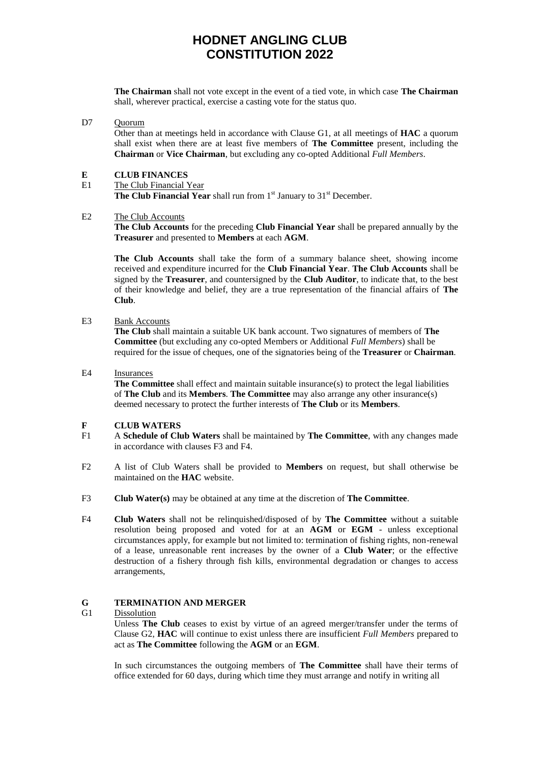**The Chairman** shall not vote except in the event of a tied vote, in which case **The Chairman** shall, wherever practical, exercise a casting vote for the status quo.

#### D7 Quorum

Other than at meetings held in accordance with Clause G1, at all meetings of **HAC** a quorum shall exist when there are at least five members of **The Committee** present, including the **Chairman** or **Vice Chairman**, but excluding any co-opted Additional *Full Members*.

#### **E CLUB FINANCES**

E1 The Club Financial Year

**The Club Financial Year** shall run from 1<sup>st</sup> January to 31<sup>st</sup> December.

#### E2 The Club Accounts

**The Club Accounts** for the preceding **Club Financial Year** shall be prepared annually by the **Treasurer** and presented to **Members** at each **AGM**.

**The Club Accounts** shall take the form of a summary balance sheet, showing income received and expenditure incurred for the **Club Financial Year**. **The Club Accounts** shall be signed by the **Treasurer**, and countersigned by the **Club Auditor**, to indicate that, to the best of their knowledge and belief, they are a true representation of the financial affairs of **The Club**.

#### E3 Bank Accounts

**The Club** shall maintain a suitable UK bank account. Two signatures of members of **The Committee** (but excluding any co-opted Members or Additional *Full Members*) shall be required for the issue of cheques, one of the signatories being of the **Treasurer** or **Chairman**.

#### E4 Insurances

**The Committee** shall effect and maintain suitable insurance(s) to protect the legal liabilities of **The Club** and its **Members**. **The Committee** may also arrange any other insurance(s) deemed necessary to protect the further interests of **The Club** or its **Members**.

#### **F CLUB WATERS**

- F1 A **Schedule of Club Waters** shall be maintained by **The Committee**, with any changes made in accordance with clauses F3 and F4.
- F2 A list of Club Waters shall be provided to **Members** on request, but shall otherwise be maintained on the **HAC** website.
- F3 **Club Water(s)** may be obtained at any time at the discretion of **The Committee**.
- F4 **Club Waters** shall not be relinquished/disposed of by **The Committee** without a suitable resolution being proposed and voted for at an **AGM** or **EGM** - unless exceptional circumstances apply, for example but not limited to: termination of fishing rights, non-renewal of a lease, unreasonable rent increases by the owner of a **Club Water**; or the effective destruction of a fishery through fish kills, environmental degradation or changes to access arrangements,

#### **G TERMINATION AND MERGER**

#### G1 Dissolution

Unless **The Club** ceases to exist by virtue of an agreed merger/transfer under the terms of Clause G2, **HAC** will continue to exist unless there are insufficient *Full Members* prepared to act as **The Committee** following the **AGM** or an **EGM**.

In such circumstances the outgoing members of **The Committee** shall have their terms of office extended for 60 days, during which time they must arrange and notify in writing all